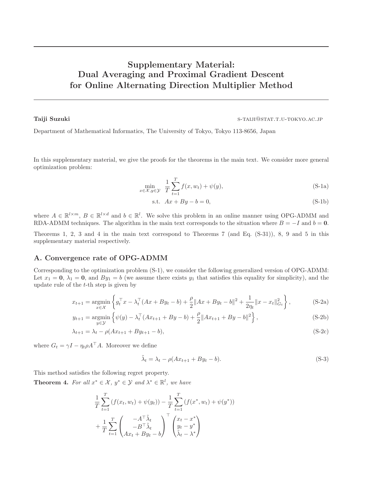# Supplementary Material: Dual Averaging and Proximal Gradient Descent for Online Alternating Direction Multiplier Method

Taiji Suzuki s-taiji Suzuki s-taiji Suzuki s-taiji Suzuki s-taiji Suzuki s-taiji Suzuki s-taiji Suzuki s-taiji

Department of Mathematical Informatics, The University of Tokyo, Tokyo 113-8656, Japan

In this supplementary material, we give the proofs for the theorems in the main text. We consider more general optimization problem:

$$
\min_{x \in \mathcal{X}, y \in \mathcal{Y}} \frac{1}{T} \sum_{t=1}^{T} f(x, w_t) + \psi(y),
$$
\n(S-1a)

s.t.  $Ax + By - b = 0$ , (S-1b)

where  $A \in \mathbb{R}^{l \times m}$ ,  $B \in \mathbb{R}^{l \times d}$  and  $b \in \mathbb{R}^{l}$ . We solve this problem in an online manner using OPG-ADMM and RDA-ADMM techniques. The algorithm in the main text corresponds to the situation where  $B = -I$  and  $b = 0$ .

Theorems 1, 2, 3 and 4 in the main text correspond to Theorems 7 (and Eq. (S-31)), 8, 9 and 5 in this supplementary material respectively.

### A. Convergence rate of OPG-ADMM

Corresponding to the optimization problem (S-1), we consider the following generalized version of OPG-ADMM: Let  $x_1 = 0$ ,  $\lambda_1 = 0$ , and  $By_1 = b$  (we assume there exists  $y_1$  that satisfies this equality for simplicity), and the update rule of the  $t$ -th step is given by

$$
x_{t+1} = \underset{x \in \mathcal{X}}{\text{argmin}} \left\{ g_t^\top x - \lambda_t^\top (Ax + By_t - b) + \frac{\rho}{2} \|Ax + By_t - b\|^2 + \frac{1}{2\eta_t} \|x - x_t\|_{G_t}^2 \right\},\tag{S-2a}
$$

$$
y_{t+1} = \underset{y \in \mathcal{Y}}{\text{argmin}} \left\{ \psi(y) - \lambda_t^{\top} (Ax_{t+1} + By - b) + \frac{\rho}{2} \|Ax_{t+1} + By - b\|^2 \right\},\tag{S-2b}
$$

$$
\lambda_{t+1} = \lambda_t - \rho(Ax_{t+1} + By_{t+1} - b),
$$
\n(S-2c)

where  $G_t = \gamma I - \eta_t \rho A^\top A$ . Moreover we define

$$
\tilde{\lambda}_t = \lambda_t - \rho(Ax_{t+1} + By_t - b). \tag{S-3}
$$

This method satisfies the following regret property.

**Theorem 4.** For all  $x^* \in \mathcal{X}$ ,  $y^* \in \mathcal{Y}$  and  $\lambda^* \in \mathbb{R}^l$ , we have

$$
\frac{1}{T} \sum_{t=1}^{T} (f(x_t, w_t) + \psi(y_t)) - \frac{1}{T} \sum_{t=1}^{T} (f(x^*, w_t) + \psi(y^*))
$$
\n
$$
+ \frac{1}{T} \sum_{t=1}^{T} \begin{pmatrix} -A^{\top} \tilde{\lambda}_t \\ -B^{\top} \tilde{\lambda}_t \\ Ax_t + By_t - b \end{pmatrix}^{\top} \begin{pmatrix} x_t - x^* \\ y_t - y^* \\ \tilde{\lambda}_t - \lambda^* \end{pmatrix}
$$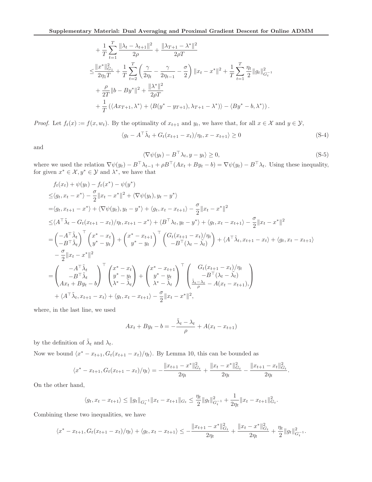$$
+ \frac{1}{T} \sum_{t=1}^{T} \frac{\|\lambda_t - \lambda_{t+1}\|^2}{2\rho} + \frac{\|\lambda_{T+1} - \lambda^*\|^2}{2\rho T} \n\leq \frac{\|x^*\|_{G_1}^2}{2\eta_1 T} + \frac{1}{T} \sum_{t=2}^{T} \left(\frac{\gamma}{2\eta_t} - \frac{\gamma}{2\eta_{t-1}} - \frac{\sigma}{2}\right) \|x_t - x^*\|^2 + \frac{1}{T} \sum_{t=1}^{T} \frac{\eta_t}{2} \|g_t\|_{G_t^{-1}}^2 \n+ \frac{\rho}{2T} \|b - By^*\|^2 + \frac{\|\lambda^*\|^2}{2\rho T} \n+ \frac{1}{T} (\langle Ax_{T+1}, \lambda^* \rangle + \langle B(y^* - y_{T+1}), \lambda_{T+1} - \lambda^* \rangle) - \langle By^* - b, \lambda^* \rangle).
$$

*Proof.* Let  $f_t(x) := f(x, w_t)$ . By the optimality of  $x_{t+1}$  and  $y_t$ , we have that, for all  $x \in \mathcal{X}$  and  $y \in \mathcal{Y}$ ,

$$
\langle g_t - A^\top \tilde{\lambda}_t + G_t (x_{t+1} - x_t) / \eta_t, x - x_{t+1} \rangle \ge 0
$$
\n(S-4)

and

$$
\langle \nabla \psi(y_t) - B^\top \lambda_t, y - y_t \rangle \ge 0,
$$
\n(S-5)

where we used the relation  $\nabla \psi(y_t) - B^{\top} \lambda_{t-1} + \rho B^{\top} (Ax_t + By_t - b) = \nabla \psi(y_t) - B^{\top} \lambda_t$ . Using these inequality, for given  $x^* \in \mathcal{X}, y^* \in \mathcal{Y}$  and  $\lambda^*$ , we have that

$$
f_{t}(x_{t}) + \psi(y_{t}) - f_{t}(x^{*}) - \psi(y^{*})
$$
\n
$$
\leq \langle g_{t}, x_{t} - x^{*} \rangle - \frac{\sigma}{2} ||x_{t} - x^{*}||^{2} + \langle \nabla \psi(y_{t}), y_{t} - y^{*} \rangle
$$
\n
$$
= \langle g_{t}, x_{t+1} - x^{*} \rangle + \langle \nabla \psi(y_{t}), y_{t} - y^{*} \rangle + \langle g_{t}, x_{t} - x_{t+1} \rangle - \frac{\sigma}{2} ||x_{t} - x^{*}||^{2}
$$
\n
$$
\leq \langle A^{\top} \tilde{\lambda}_{t} - G_{t}(x_{t+1} - x_{t}) / \eta_{t}, x_{t+1} - x^{*} \rangle + \langle B^{\top} \lambda_{t}, y_{t} - y^{*} \rangle + \langle g_{t}, x_{t} - x_{t+1} \rangle - \frac{\sigma}{2} ||x_{t} - x^{*}||^{2}
$$
\n
$$
= \left( -A^{\top} \tilde{\lambda}_{t} \right)^{\top} \left( x^{*} - x_{t} \right) + \left( x^{*} - x_{t+1} \right)^{\top} \left( G_{t}(x_{t+1} - x_{t}) / \eta_{t} \right) + \langle A^{\top} \tilde{\lambda}_{t}, x_{t+1} - x_{t} \rangle + \langle g_{t}, x_{t} - x_{t+1} \rangle - \frac{\sigma}{2} ||x_{t} - x^{*}||^{2}
$$
\n
$$
- \frac{\sigma}{2} ||x_{t} - x^{*}||^{2}
$$
\n
$$
= \left( -A^{\top} \tilde{\lambda}_{t} \right)^{\top} \left( x^{*} - x_{t} \right)
$$
\n
$$
= \left( -B^{\top} \tilde{\lambda}_{t} \right)^{\top} \left( x^{*} - x_{t} \right)
$$
\n
$$
+ \left( x^{*} - x_{t+1} \right)^{\top} \left( y^{*} - y_{t} \right)
$$
\n
$$
+ \left( x^{*} - x_{t} \right)^{\top} \left( y^{*} - y_{t} \right)
$$
\n
$$
+ \left( x^{*} - x_{t} \right)^{\top} \left( \frac{G_{t}(x_{t+1} - x_{t
$$

where, in the last line, we used

$$
Ax_t + By_t - b = -\frac{\tilde{\lambda}_t - \lambda_t}{\rho} + A(x_t - x_{t+1})
$$

by the definition of  $\tilde{\lambda}_t$  and  $\lambda_t$ .

Now we bound  $\langle x^* - x_{t+1}, G_t(x_{t+1} - x_t) / \eta_t \rangle$ . By Lemma 10, this can be bounded as

$$
\langle x^* - x_{t+1}, G_t(x_{t+1} - x_t) / \eta_t \rangle = -\frac{\|x_{t+1} - x^*\|_{G_t}^2}{2\eta_t} + \frac{\|x_t - x^*\|_{G_t}^2}{2\eta_t} - \frac{\|x_{t+1} - x_t\|_{G_t}^2}{2\eta_t}.
$$

On the other hand,

$$
\langle g_t, x_t - x_{t+1} \rangle \le ||g_t||_{G_t^{-1}} ||x_t - x_{t+1}||_{G_t} \le \frac{\eta_t}{2} ||g_t||_{G_t^{-1}}^2 + \frac{1}{2\eta_t} ||x_t - x_{t+1}||_{G_t}^2.
$$

Combining these two inequalities, we have

$$
\langle x^*-x_{t+1},G_t(x_{t+1}-x_t)/\eta_t\rangle+\langle g_t,x_t-x_{t+1}\rangle\leq -\frac{\|x_{t+1}-x^*\|^2_{G_t}}{2\eta_t}+\frac{\|x_t-x^*\|^2_{G_t}}{2\eta_t}+\frac{\eta_t}{2}\|g_t\|^2_{G_t^{-1}}.
$$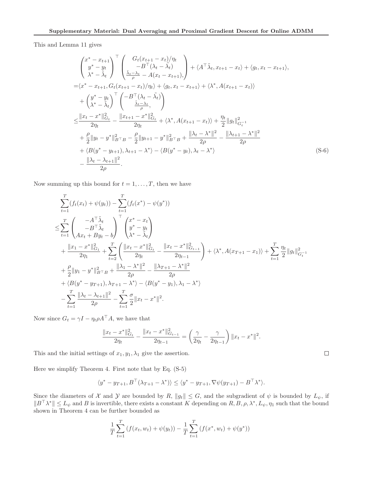This and Lemma 11 gives

$$
\begin{split}\n&\begin{pmatrix}\nx^{*}-x_{t+1} \\
y^{*}-y_{t} \\
\lambda^{*}-\tilde{\lambda}_{t}\n\end{pmatrix}^{\top}\n\begin{pmatrix}\nG_{t}(x_{t+1}-x_{t})/\eta_{t} \\
-B^{\top}(\lambda_{t}-\tilde{\lambda}_{t}) \\
\lambda^{*}-\tilde{\lambda}_{t}\n\end{pmatrix} + \langle A^{\top}\tilde{\lambda}_{t}, x_{t+1}-x_{t}\rangle + \langle g_{t}, x_{t}-x_{t+1}\rangle, \\
&= \langle x^{*}-x_{t+1}, G_{t}(x_{t+1}-x_{t})/\eta_{t}\rangle + \langle g_{t}, x_{t}-x_{t+1}\rangle + \langle \lambda^{*}, A(x_{t+1}-x_{t})\rangle \\
&+ \begin{pmatrix}\ny^{*}-y_{t} \\
\lambda^{*}-\tilde{\lambda}_{t}\n\end{pmatrix}^{\top}\n\begin{pmatrix}\n-B^{\top}(\lambda_{t}-\tilde{\lambda}_{t}) \\
\tilde{\lambda}_{t}-\lambda_{t}\n\end{pmatrix} \\
&\leq \frac{\|x_{t}-x^{*}\|_{G_{t}}^{2}}{2\eta_{t}} - \frac{\|x_{t+1}-x^{*}\|_{G_{t}}^{2}}{2\eta_{t}} + \langle \lambda^{*}, A(x_{t+1}-x_{t})\rangle + \frac{\eta_{t}}{2}\|g_{t}\|_{G_{t}^{-1}}^{2} \\
&+ \frac{\rho}{2}\|y_{t}-y^{*}\|_{B^{\top}B}^{2} - \frac{\rho}{2}\|y_{t+1}-y^{*}\|_{B^{\top}B}^{2} + \frac{\|\lambda_{t}-\lambda^{*}\|^{2}}{2\rho} - \frac{\|\lambda_{t+1}-\lambda^{*}\|^{2}}{2\rho} \\
&+ \langle B(y^{*}-y_{t+1}), \lambda_{t+1}-\lambda^{*}\rangle - \langle B(y^{*}-y_{t}), \lambda_{t}-\lambda^{*}\rangle\n\end{split}
$$
\n(S-6)

Now summing up this bound for  $t = 1, \ldots, T$ , then we have

$$
\sum_{t=1}^{T} (f_t(x_t) + \psi(y_t)) - \sum_{t=1}^{T} (f_t(x^*) - \psi(y^*))
$$
\n
$$
\leq \sum_{t=1}^{T} \left( \frac{-A^{\top} \tilde{\lambda}_t}{Ax_t + By_t - b} \right)^{\top} \begin{pmatrix} x^* - x_t \\ y^* - y_t \\ \lambda^* - \tilde{\lambda}_t \end{pmatrix}
$$
\n
$$
+ \frac{\|x_1 - x^*\|_{G_1}^2}{2\eta_1} + \sum_{t=2}^{T} \left( \frac{\|x_t - x^*\|_{G_t}^2}{2\eta_t} - \frac{\|x_t - x^*\|_{G_{t-1}}^2}{2\eta_{t-1}} \right) + \langle \lambda^*, A(x_{T+1} - x_1) \rangle + \sum_{t=1}^{T} \frac{\eta_t}{2} \|g_t\|_{G_t^{-1}}^2
$$
\n
$$
+ \frac{\rho}{2} \|y_1 - y^*\|_{B^{\top}B}^2 + \frac{\|\lambda_1 - \lambda^*\|^2}{2\rho} - \frac{\|\lambda_{T+1} - \lambda^*\|^2}{2\rho}
$$
\n
$$
+ \langle B(y^* - y_{T+1}), \lambda_{T+1} - \lambda^* \rangle - \langle B(y^* - y_1), \lambda_1 - \lambda^* \rangle
$$
\n
$$
- \sum_{t=1}^{T} \frac{\|\lambda_t - \lambda_{t+1}\|^2}{2\rho} - \sum_{t=1}^{T} \frac{\sigma}{2} \|x_t - x^*\|^2.
$$

Now since  $G_t = \gamma I - \eta_t \rho A^\top A$ , we have that

$$
\frac{\|x_t - x^*\|_{G_t}^2}{2\eta_t} - \frac{\|x_t - x^*\|_{G_{t-1}}^2}{2\eta_{t-1}} = \left(\frac{\gamma}{2\eta_t} - \frac{\gamma}{2\eta_{t-1}}\right) \|x_t - x^*\|^2.
$$

This and the initial settings of  $x_1, y_1, \lambda_1$  give the assertion.

Here we simplify Theorem 4. First note that by Eq. (S-5)

$$
\langle y^* - y_{T+1}, B^{\top}(\lambda_{T+1} - \lambda^*) \rangle \le \langle y^* - y_{T+1}, \nabla \psi(y_{T+1}) - B^{\top} \lambda^* \rangle.
$$

Since the diameters of X and Y are bounded by R,  $||g_t|| \leq G$ , and the subgradient of  $\psi$  is bounded by  $L_{\psi}$ , if  $||B^{\top}\lambda^*|| \leq L_{\psi}$  and B is invertible, there exists a constant K depending on  $R, B, \rho, \lambda^*, L_{\psi}, \eta_1$  such that the bound shown in Theorem 4 can be further bounded as

$$
\frac{1}{T} \sum_{t=1}^{T} \left( f(x_t, w_t) + \psi(y_t) \right) - \frac{1}{T} \sum_{t=1}^{T} \left( f(x^*, w_t) + \psi(y^*) \right)
$$

 $\Box$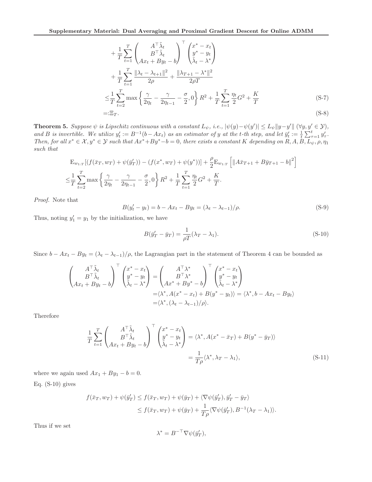$$
+\frac{1}{T} \sum_{t=1}^{T} \begin{pmatrix} A^{\top} \tilde{\lambda}_{t} \\ B^{\top} \tilde{\lambda}_{t} \\ Ax_{t} + By_{t} - b \end{pmatrix}^{\top} \begin{pmatrix} x^{*} - x_{t} \\ y^{*} - y_{t} \\ \tilde{\lambda}_{t} - \lambda^{*} \end{pmatrix} + \frac{1}{T} \sum_{t=1}^{T} \frac{\|\lambda_{t} - \lambda_{t+1}\|^{2}}{2\rho} + \frac{\|\lambda_{T+1} - \lambda^{*}\|^{2}}{2\rho T} - \frac{\sigma}{2\rho T}
$$
  

$$
\leq \frac{1}{T} \sum_{t=2}^{T} \max \left\{ \frac{\gamma}{2\eta_{t}} - \frac{\gamma}{2\eta_{t-1}} - \frac{\sigma}{2}, 0 \right\} R^{2} + \frac{1}{T} \sum_{t=1}^{T} \frac{\eta_{t}}{2} G^{2} + \frac{K}{T}
$$
  
=:  $\Xi_{T}.$  (S-8)

Theorem 5. Suppose  $\psi$  is Lipschitz continuous with a constant  $L_{\psi}$ , i.e.,  $|\psi(y) - \psi(y')| \leq L_{\psi} ||y - y'|| (\forall y, y' \in \mathcal{Y})$ , and *B* is invertible. We utilize  $y_t' := B^{-1}(b - Ax_t)$  as an estimator of y at the t-th step, and let  $\bar{y}_t' := \frac{1}{t} \sum_{\tau=1}^t y_\tau'$ . *Then, for all*  $x^* \in \mathcal{X}, y^* \in \mathcal{Y}$  *such that*  $Ax^* + By^* - b = 0$ *, there exists a constant* K *depending on* R, A,  $B, L_{\psi}, \rho, \eta_1$ *such that*

$$
E_{w_{1:T}}[(f(\bar{x}_T, w_T) + \psi(\bar{y}_T')) - (f(x^*, w_T) + \psi(y^*))] + \frac{\rho}{2} E_{w_{1:T}} [||A\bar{x}_{T+1} + B\bar{y}_{T+1} - b||^2]
$$
  

$$
\leq \frac{1}{T} \sum_{t=2}^T \max \left\{ \frac{\gamma}{2\eta_t} - \frac{\gamma}{2\eta_{t-1}} - \frac{\sigma}{2}, 0 \right\} R^2 + \frac{1}{T} \sum_{t=1}^T \frac{\eta_t}{2} G^2 + \frac{K}{T}.
$$

*Proof.* Note that

$$
B(y'_t - y_t) = b - Ax_t - By_t = (\lambda_t - \lambda_{t-1})/\rho.
$$
 (S-9)

Thus, noting  $y'_1 = y_1$  by the initialization, we have

$$
B(\bar{y}'_T - \bar{y}_T) = \frac{1}{\rho T} (\lambda_T - \lambda_1). \tag{S-10}
$$

Since  $b - Ax_t - By_t = (\lambda_t - \lambda_{t-1})/\rho$ , the Lagrangian part in the statement of Theorem 4 can be bounded as

$$
\begin{pmatrix}\nA^{\top} \tilde{\lambda}_t \\
B^{\top} \tilde{\lambda}_t \\
Ax_t + By_t - b\n\end{pmatrix}^{\top}\n\begin{pmatrix}\nx^* - x_t \\
y^* - y_t \\
\tilde{\lambda}_t - \lambda^*\n\end{pmatrix} = \n\begin{pmatrix}\nA^{\top} \lambda^* \\
B^{\top} \lambda^* \\
Ax^* + By^* - b\n\end{pmatrix}^{\top}\n\begin{pmatrix}\nx^* - x_t \\
y^* - y_t \\
\tilde{\lambda}_t - \lambda^*\n\end{pmatrix}
$$
\n
$$
= \langle \lambda^*, A(x^* - x_t) + B(y^* - y_t) \rangle = \langle \lambda^*, b - Ax_t - By_t \rangle
$$
\n
$$
= \langle \lambda^*, (\lambda_t - \lambda_{t-1})/\rho \rangle.
$$

Therefore

$$
\frac{1}{T} \sum_{t=1}^{T} \begin{pmatrix} A^{\top} \tilde{\lambda}_t \\ B^{\top} \tilde{\lambda}_t \\ Ax_t + By_t - b \end{pmatrix}^{\top} \begin{pmatrix} x^* - x_t \\ y^* - y_t \\ \tilde{\lambda}_t - \lambda^* \end{pmatrix} = \langle \lambda^*, A(x^* - \bar{x}_T) + B(y^* - \bar{y}_T) \rangle
$$
\n
$$
= \frac{1}{T\rho} \langle \lambda^*, \lambda_T - \lambda_1 \rangle,
$$
\n(S-11)

where we again used  $Ax_1 + By_1 - b = 0$ .

Eq.  $(S-10)$  gives

$$
f(\bar{x}_T, w_T) + \psi(\bar{y}_T') \le f(\bar{x}_T, w_T) + \psi(\bar{y}_T) + \langle \nabla \psi(\bar{y}_T'), \bar{y}_T' - \bar{y}_T \rangle
$$
  

$$
\le f(\bar{x}_T, w_T) + \psi(\bar{y}_T) + \frac{1}{T\rho} \langle \nabla \psi(\bar{y}_T'), B^{-1}(\lambda_T - \lambda_1) \rangle.
$$

Thus if we set

$$
\lambda^* = B^{-\top} \nabla \psi(\bar{y}_T'),
$$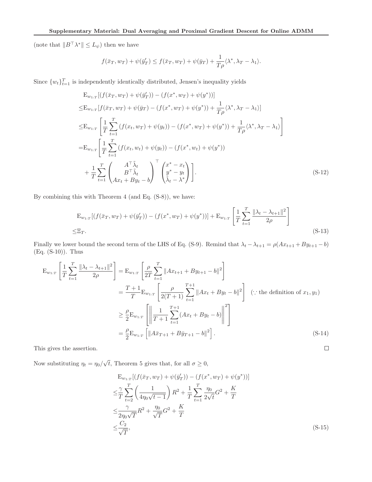(note that  $||B^{\top} \lambda^*|| \leq L_{\psi}$ ) then we have

$$
f(\bar{x}_T, w_T) + \psi(\bar{y}'_T) \le f(\bar{x}_T, w_T) + \psi(\bar{y}_T) + \frac{1}{T\rho} \langle \lambda^*, \lambda_T - \lambda_1 \rangle.
$$

Since  $\{w_t\}_{t=1}^T$  is independently identically distributed, Jensen's inequality yields

$$
E_{w_{1:T}}[(f(\bar{x}_T, w_T) + \psi(\bar{y}'_T)) - (f(x^*, w_T) + \psi(y^*))]
$$
  
\n
$$
\leq E_{w_{1:T}}[f(\bar{x}_T, w_T) + \psi(\bar{y}_T) - (f(x^*, w_T) + \psi(y^*)) + \frac{1}{T\rho}\langle \lambda^*, \lambda_T - \lambda_1 \rangle]
$$
  
\n
$$
\leq E_{w_{1:T}}\left[\frac{1}{T}\sum_{t=1}^T (f(x_t, w_T) + \psi(y_t)) - (f(x^*, w_T) + \psi(y^*)) + \frac{1}{T\rho}\langle \lambda^*, \lambda_T - \lambda_1 \rangle\right]
$$
  
\n
$$
= E_{w_{1:T}}\left[\frac{1}{T}\sum_{t=1}^T (f(x_t, w_t) + \psi(y_t)) - (f(x^*, w_t) + \psi(y^*))\right]
$$
  
\n
$$
+ \frac{1}{T}\sum_{t=1}^T \left(\frac{A^T\tilde{\lambda}_t}{B^T\tilde{\lambda}_t}\right)^T \left(\begin{matrix} x^* - x_t \\ y^* - y_t \\ \tilde{\lambda}_t - \lambda^* \end{matrix}\right).
$$
\n(S-12)

By combining this with Theorem 4 (and Eq. (S-8)), we have:

$$
E_{w_{1:T}}[(f(\bar{x}_T, w_T) + \psi(\bar{y}'_T)) - (f(x^*, w_T) + \psi(y^*))] + E_{w_{1:T}}\left[\frac{1}{T}\sum_{t=1}^T \frac{||\lambda_t - \lambda_{t+1}||^2}{2\rho}\right]
$$
  
  $\leq \Xi_T.$  (S-13)

Finally we lower bound the second term of the LHS of Eq. (S-9). Remind that  $\lambda_t - \lambda_{t+1} = \rho(Ax_{t+1} + By_{t+1} - b)$ (Eq. (S-10)). Thus

$$
\begin{split} \mathcal{E}_{w_{1:T}}\left[\frac{1}{T}\sum_{t=1}^{T}\frac{\|\lambda_t - \lambda_{t+1}\|^2}{2\rho}\right] &= \mathcal{E}_{w_{1:T}}\left[\frac{\rho}{2T}\sum_{t=1}^{T}\|Ax_{t+1} + By_{t+1} - b\|^2\right] \\ &= \frac{T+1}{T}\mathcal{E}_{w_{1:T}}\left[\frac{\rho}{2(T+1)}\sum_{t=1}^{T+1}\|Ax_t + By_t - b\|^2\right] \quad (\because \text{ the definition of } x_1, y_1) \\ &\geq \frac{\rho}{2}\mathcal{E}_{w_{1:T}}\left[\left\|\frac{1}{T+1}\sum_{t=1}^{T+1}(Ax_t + By_t - b)\right\|^2\right] \\ &= \frac{\rho}{2}\mathcal{E}_{w_{1:T}}\left[\|A\bar{x}_{T+1} + B\bar{y}_{T+1} - b\|^2\right]. \end{split} \tag{S-14}
$$

This gives the assertion.

Now substituting  $\eta_t = \eta_0 / \sqrt{t}$ , Theorem 5 gives that, for all  $\sigma \ge 0$ ,

$$
E_{w_{1:T}}[(f(\bar{x}_T, w_T) + \psi(\bar{y}'_T)) - (f(x^*, w_T) + \psi(y^*))]
$$
  
\n
$$
\leq \frac{\gamma}{T} \sum_{t=2}^T \left(\frac{1}{4\eta_0 \sqrt{t-1}}\right) R^2 + \frac{1}{T} \sum_{t=1}^T \frac{\eta_0}{2\sqrt{t}} G^2 + \frac{K}{T}
$$
  
\n
$$
\leq \frac{\gamma}{2\eta_0 \sqrt{T}} R^2 + \frac{\eta_0}{\sqrt{T}} G^2 + \frac{K}{T}
$$
  
\n
$$
\leq \frac{C_2}{\sqrt{T}},
$$
\n(S-15)

 $\Box$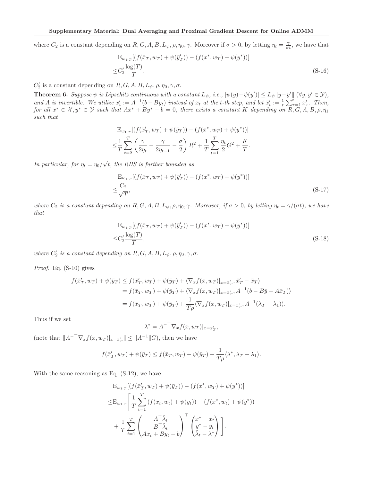where  $C_2$  is a constant depending on  $R, G, A, B, L_{\psi}, \rho, \eta_0, \gamma$ . Moreover if  $\sigma > 0$ , by letting  $\eta_t = \frac{\gamma}{\sigma t}$ , we have that

$$
E_{w_{1:T}}[(f(\bar{x}_T, w_T) + \psi(\bar{y}'_T)) - (f(x^*, w_T) + \psi(y^*))]
$$
  

$$
\leq C'_2 \frac{\log(T)}{T},
$$
 (S-16)

 $C_2'$  is a constant depending on  $R, G, A, B, L_{\psi}, \rho, \eta_0, \gamma, \sigma$ .

**Theorem 6.** Suppose  $\psi$  is Lipschitz continuous with a constant  $L_{\psi}$ , i.e.,  $|\psi(y) - \psi(y')| \leq L_{\psi} ||y - y'|| (\forall y, y' \in \mathcal{Y})$ , and *A* is invertible. We utilize  $x'_t := A^{-1}(b - By_t)$  instead of  $x_t$  at the *t*-th step, and let  $\bar{x}'_t := \frac{1}{t} \sum_{\tau=1}^t x'_\tau$ . Then,  $for \ all \ x^* \in \mathcal{X}, y^* \in \mathcal{Y} \ such \ that \ Ax^* + By^* - b = 0, \ there \ exists \ a \ constant \ K \ depending \ on \ R, G, A, B, \rho, \eta_1$ *such that*

$$
\begin{split} & \mathcal{E}_{w_{1:T}}[(f(\bar{x}'_T, w_T) + \psi(\bar{y}_T)) - (f(x^*, w_T) + \psi(y^*))] \\ &\leq \frac{1}{T} \sum_{t=2}^T \left(\frac{\gamma}{2\eta_t} - \frac{\gamma}{2\eta_{t-1}} - \frac{\sigma}{2}\right) R^2 + \frac{1}{T} \sum_{t=1}^T \frac{\eta_t}{2} G^2 + \frac{K}{T}. \end{split}
$$

*In particular, for*  $\eta_t = \eta_0 / \sqrt{t}$ *, the RHS is further bounded as* 

$$
\mathcal{E}_{w_{1:T}}[(f(\bar{x}_T, w_T) + \psi(\bar{y}'_T)) - (f(x^*, w_T) + \psi(y^*))]
$$
\n
$$
\leq \frac{C_2}{\sqrt{T}},
$$
\n(S-17)

*where*  $C_2$  *is a constant depending on*  $R, G, A, B, L_{\psi}, \rho, \eta_0, \gamma$ . Moreover, if  $\sigma > 0$ *, by letting*  $\eta_t = \gamma/(\sigma t)$ *, we have that*

$$
E_{w_{1:T}}[(f(\bar{x}_T, w_T) + \psi(\bar{y}'_T)) - (f(x^*, w_T) + \psi(y^*))]
$$
  

$$
\leq C'_2 \frac{\log(T)}{T},
$$
 (S-18)

*where*  $C'_2$  *is a constant depending on*  $R, G, A, B, L_{\psi}, \rho, \eta_0, \gamma, \sigma$ .

*Proof.* Eq. (S-10) gives

$$
f(\bar{x}'_T, w_T) + \psi(\bar{y}_T) \le f(\bar{x}'_T, w_T) + \psi(\bar{y}_T) + \langle \nabla_x f(x, w_T) |_{x = \bar{x}'_T}, \bar{x}'_T - \bar{x}_T \rangle
$$
  
=  $f(\bar{x}_T, w_T) + \psi(\bar{y}_T) + \langle \nabla_x f(x, w_T) |_{x = \bar{x}'_T}, A^{-1}(b - B\bar{y} - A\bar{x}_T) \rangle$   
=  $f(\bar{x}_T, w_T) + \psi(\bar{y}_T) + \frac{1}{T\rho} \langle \nabla_x f(x, w_T) |_{x = \bar{x}'_T}, A^{-1}(\lambda_T - \lambda_1) \rangle.$ 

Thus if we set

$$
\lambda^* = A^{-\top} \nabla_x f(x, w_T)|_{x = \bar{x}'_T},
$$

(note that  $||A^{-\top} \nabla_x f(x, w_T)||_{x = \bar{x}'_T} || \le ||A^{-1}||G$ ), then we have

$$
f(\bar{x}'_T, w_T) + \psi(\bar{y}_T) \le f(\bar{x}_T, w_T) + \psi(\bar{y}_T) + \frac{1}{T\rho} \langle \lambda^*, \lambda_T - \lambda_1 \rangle.
$$

With the same reasoning as Eq. (S-12), we have

$$
\begin{split} \mathbf{E}_{w_{1:T}}[(f(\bar{x}'_T, w_T) + \psi(\bar{y}_T)) - (f(x^*, w_T) + \psi(y^*))] \\ \leq & \mathbf{E}_{w_{1:T}}\left[\frac{1}{T}\sum_{t=1}^T (f(x_t, w_t) + \psi(y_t)) - (f(x^*, w_t) + \psi(y^*))\right] \\ & + \frac{1}{T}\sum_{t=1}^T \begin{pmatrix} A^\top \tilde{\lambda}_t \\ B^\top \tilde{\lambda}_t \\ Ax_t + By_t - b \end{pmatrix}^\top \begin{pmatrix} x^* - x_t \\ y^* - y_t \\ \tilde{\lambda}_t - \lambda^* \end{pmatrix}\right]. \end{split}
$$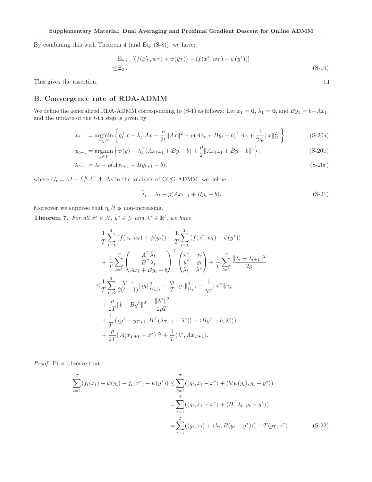By combining this with Theorem 4 (and Eq. (S-8)), we have:

$$
\mathbf{E}_{w_{1:T}}[(f(\bar{x}'_T, w_T) + \psi(\bar{y}_T)) - (f(x^*, w_T) + \psi(y^*))]
$$
  
 
$$
\leq \mathbf{E}_T.
$$
 (S-19)

 $\Box$ 

This gives the assertion.

# B. Convergence rate of RDA-ADMM

We define the generalized RDA-ADMM corresponding to (S-1) as follows: Let  $x_1 = 0$ ,  $\lambda_1 = 0$ , and  $By_1 = b - Ax_1$ , and the update of the  $t$ -th step is given by

$$
x_{t+1} = \underset{x \in \mathcal{X}}{\text{argmin}} \left\{ \bar{g}_t^\top x - \bar{\lambda}_t^\top Ax + \frac{\rho}{2t} \|Ax\|^2 + \rho (A\bar{x}_t + B\bar{y}_t - b)^\top Ax + \frac{1}{2\eta_t} \|x\|_{G_t}^2 \right\},\tag{S-20a}
$$

$$
y_{t+1} = \underset{y \in \mathcal{Y}}{\text{argmin}} \left\{ \psi(y) - \lambda_t^{\top} (Ax_{t+1} + By - b) + \frac{\rho}{2} \|Ax_{t+1} + By - b\|^2 \right\},\tag{S-20b}
$$

$$
\lambda_{t+1} = \lambda_t - \rho(Ax_{t+1} + By_{t+1} - b),
$$
\n(S-20c)

where  $G_t = \gamma I - \frac{\rho \eta_t}{t} A^{\top} A$ . As in the analysis of OPG-ADMM, we define

$$
\tilde{\lambda}_t = \lambda_t - \rho(Ax_{t+1} + By_t - b). \tag{S-21}
$$

Moreover we suppose that  $\eta_t/t$  is non-increasing.

**Theorem 7.** For all  $x^* \in \mathcal{X}$ ,  $y^* \in \mathcal{Y}$  and  $\lambda^* \in \mathbb{R}^l$ , we have

$$
\frac{1}{T} \sum_{t=1}^{T} \left( f(x_t, w_t) + \psi(y_t) \right) - \frac{1}{T} \sum_{t=1}^{T} \left( f(x^*, w_t) + \psi(y^*) \right) \n+ \frac{1}{T} \sum_{t=1}^{T} \left( \frac{A^{\top} \tilde{\lambda}_t}{B^{\top} \tilde{\lambda}_t} \right) \begin{bmatrix} x^* - x_t \\ y^* - y_t \\ \tilde{\lambda}_t - \lambda^* \end{bmatrix} + \frac{1}{T} \sum_{t=1}^{T} \frac{\|\lambda_t - \lambda_{t+1}\|^2}{2\rho} \n\leq \frac{1}{T} \sum_{t=2}^{T} \frac{\eta_{t-1}}{2(t-1)} \|g_t\|_{G_{t-1}}^2 + \frac{\eta_1}{T} \|g_1\|_{G_{t-1}}^2 + \frac{1}{\eta_T} \|x^*\|_{G_T} \n+ \frac{\rho}{2T} \|b - By^*\|^2 + \frac{\|\lambda^*\|^2}{2\rho T} \n+ \frac{1}{T} \left( \langle y^* - y_{T+1}, B^{\top}(\lambda_{T+1} - \lambda^*) \rangle - \langle By^* - b, \lambda^* \rangle \right) \n+ \frac{\rho}{2T} \|A(x_{T+1} - x^*)\|^2 + \frac{1}{T} \langle \lambda^*, Ax_{T+1} \rangle.
$$

*Proof.* First observe that

$$
\sum_{t=1}^{T} (f_t(x_t) + \psi(y_t) - f_t(x^*) - \psi(y^*)) \leq \sum_{t=1}^{T} (\langle g_t, x_t - x^* \rangle + \langle \nabla \psi(y_t), y_t - y^* \rangle)
$$
\n
$$
= \sum_{t=1}^{T} (\langle g_t, x_t - x^* \rangle + \langle B^{\top} \lambda_t, y_t - y^* \rangle)
$$
\n
$$
= \sum_{t=1}^{T} (\langle g_t, x_t \rangle + \langle \lambda_t, B(y_t - y^*) \rangle) - T \langle \bar{g}_T, x^* \rangle. \tag{S-22}
$$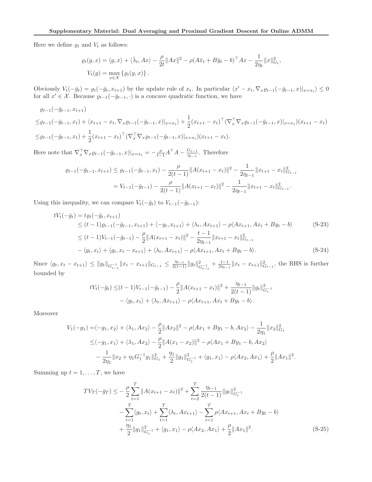Here we define  $\varrho_t$  and  $V_t$  as follows:

$$
\varrho_t(g, x) = \langle g, x \rangle + \langle \bar{\lambda}_t, Ax \rangle - \frac{\rho}{2t} ||Ax||^2 - \rho (A\bar{x}_t + B\bar{y}_t - b)^\top Ax - \frac{1}{2\eta_t} ||x||^2_{G_t},
$$
  

$$
V_t(g) = \max_{x \in \mathcal{X}} \{ \varrho_t(g, x) \}.
$$

Obviously  $V_t(-\bar{g}_t) = \varrho_t(-\bar{g}_t, x_{t+1})$  by the update rule of  $x_t$ . In particular  $\langle x' - x_t, \nabla_x \varrho_{t-1}(-\bar{g}_{t-1}, x)|_{x=x_t}\rangle \leq 0$ for all  $x' \in \mathcal{X}$ . Because  $\varrho_{t-1}(-\bar{g}_{t-1}, \cdot)$  is a concave quadratic function, we have

$$
\varrho_{t-1}(-\bar{g}_{t-1}, x_{t+1})
$$
\n
$$
\leq \varrho_{t-1}(-\bar{g}_{t-1}, x_t) + \langle x_{t+1} - x_t, \nabla_x \varrho_{t-1}(-\bar{g}_{t-1}, x)|_{x=x_t}\rangle + \frac{1}{2}(x_{t+1} - x_t)^\top (\nabla_x^\top \nabla_x \varrho_{t-1}(-\bar{g}_{t-1}, x)|_{x=x_t})(x_{t+1} - x_t)
$$
\n
$$
\leq \varrho_{t-1}(-\bar{g}_{t-1}, x_t) + \frac{1}{2}(x_{t+1} - x_t)^\top (\nabla_x^\top \nabla_x \varrho_{t-1}(-\bar{g}_{t-1}, x)|_{x=x_t})(x_{t+1} - x_t).
$$

Here note that  $\nabla_x^{\top} \nabla_x \varrho_{t-1}(-\bar{g}_{t-1}, x)|_{x=x_t} = -\frac{\rho}{t-1} A^{\top} A - \frac{G_{t-1}}{\eta_{t-1}}$  $\frac{G_{t-1}}{\eta_{t-1}}$ . Therefore

$$
\varrho_{t-1}(-\bar{g}_{t-1}, x_{t+1}) \leq \varrho_{t-1}(-\bar{g}_{t-1}, x_t) - \frac{\rho}{2(t-1)} \|A(x_{t+1} - x_t)\|^2 - \frac{1}{2\eta_{t-1}} \|x_{t+1} - x_t\|^2_{G_{t-1}} \n= V_{t-1}(-\bar{g}_{t-1}) - \frac{\rho}{2(t-1)} \|A(x_{t+1} - x_t)\|^2 - \frac{1}{2\eta_{t-1}} \|x_{t+1} - x_t\|^2_{G_{t-1}}.
$$

Using this inequality, we can compare  $V_t(-\bar{g}_t)$  to  $V_{t-1}(-\bar{g}_{t-1})$ :

$$
tV_t(-\bar{g}_t) = t\varrho_t(-\bar{g}_t, x_{t+1})
$$
  
\n
$$
\leq (t-1)\varrho_{t-1}(-\bar{g}_{t-1}, x_{t+1}) + \langle -g_t, x_{t+1} \rangle + \langle \lambda_t, Ax_{t+1} \rangle - \rho \langle Ax_{t+1}, Ax_t + By_t - b \rangle
$$
  
\n
$$
\leq (t-1)V_{t-1}(-\bar{g}_{t-1}) - \frac{\rho}{2} ||A(x_{t+1} - x_t)||^2 - \frac{t-1}{2\eta_{t-1}} ||x_{t+1} - x_t||^2_{G_{t-1}}
$$
  
\n
$$
-\langle g_t, x_t \rangle + \langle g_t, x_t - x_{t+1} \rangle + \langle \lambda_t, Ax_{t+1} \rangle - \rho \langle Ax_{t+1}, Ax_t + By_t - b \rangle.
$$
 (S-24)

Since  $\langle g_t, x_t - x_{t+1} \rangle \leq ||g_t||_{G_{t-1}^{-1}} ||x_t - x_{t+1}||_{G_{t-1}} \leq \frac{\eta_{t-1}}{2(t-1)} ||g_t||_G^2$  $\frac{2}{G_{t-1}} + \frac{t-1}{2\eta_{t-1}} \|x_t - x_{t+1}\|_{G_{t-1}}^2$ , the RHS is further bounded by

$$
tV_t(-\bar{g}_t) \leq (t-1)V_{t-1}(-\bar{g}_{t-1}) - \frac{\rho}{2} ||A(x_{t+1} - x_t)||^2 + \frac{\eta_{t-1}}{2(t-1)} ||g_t||_{G_t^{-1}}^2 - \langle g_t, x_t \rangle + \langle \lambda_t, Ax_{t+1} \rangle - \rho \langle Ax_{t+1}, Ax_t + By_t - b \rangle.
$$

Moreover

$$
V_1(-g_1) = \langle -g_1, x_2 \rangle + \langle \lambda_1, Ax_2 \rangle - \frac{\rho}{2} ||Ax_2||^2 - \rho \langle Ax_1 + By_1 - b, Ax_2 \rangle - \frac{1}{2\eta_1} ||x_2||_{G_1}^2
$$
  
\n
$$
\leq \langle -g_1, x_1 \rangle + \langle \lambda_1, Ax_2 \rangle - \frac{\rho}{2} ||A(x_1 - x_2)||^2 - \rho \langle Ax_1 + By_1 - b, Ax_2 \rangle
$$
  
\n
$$
- \frac{1}{2\eta_1} ||x_2 + \eta_1 G_1^{-1} g_1||_{G_1}^2 + \frac{\eta_1}{2} ||g_1||_{G_1^{-1}}^2 + \langle g_1, x_1 \rangle - \rho \langle Ax_2, Ax_1 \rangle + \frac{\rho}{2} ||Ax_1||^2.
$$

Summing up  $t = 1, \ldots, T$ , we have

$$
TV_T(-\bar{g}_T) \le -\frac{\rho}{2} \sum_{t=1}^T \|A(x_{t+1} - x_t)\|^2 + \sum_{t=2}^T \frac{\eta_{t-1}}{2(t-1)} \|g_t\|_{G_t^{-1}}^2 - \sum_{t=1}^T \langle g_t, x_t \rangle + \sum_{t=1}^T \langle \lambda_t, Ax_{t+1} \rangle - \sum_{t=1}^T \rho \langle Ax_{t+1}, Ax_t + By_t - b \rangle + \frac{\eta_1}{2} \|g_1\|_{G_1^{-1}}^2 + \langle g_1, x_1 \rangle - \rho \langle Ax_2, Ax_1 \rangle + \frac{\rho}{2} \|Ax_1\|^2.
$$
 (S-25)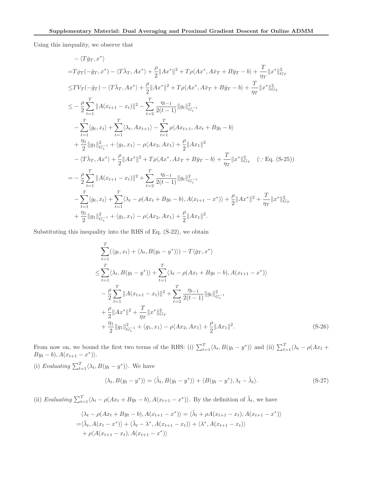Using this inequality, we observe that

$$
\langle T\bar{g}_{T}, x^{*}\rangle
$$
  
\n
$$
=T\rho_{T}(-\bar{g}_{T}, x^{*}) - \langle T\bar{\lambda}_{T}, Ax^{*}\rangle + \frac{\rho}{2}||Ax^{*}||^{2} + T\rho\langle Ax^{*}, A\bar{x}_{T} + B\bar{y}_{T} - b\rangle + \frac{T}{\eta_{T}}||x^{*}||_{G_{T}}^{2}
$$
  
\n
$$
\leq TV_{T}(-\bar{g}_{T}) - \langle T\bar{\lambda}_{T}, Ax^{*}\rangle + \frac{\rho}{2}||Ax^{*}||^{2} + T\rho\langle Ax^{*}, A\bar{x}_{T} + B\bar{y}_{T} - b\rangle + \frac{T}{\eta_{T}}||x^{*}||_{G_{T}}^{2}
$$
  
\n
$$
\leq -\frac{\rho}{2} \sum_{t=1}^{T} ||A(x_{t+1} - x_{t})||^{2} - \sum_{t=2}^{T} \frac{\eta_{t-1}}{2(t-1)} ||g_{t}||_{G_{t}^{-1}}^{2}
$$
  
\n
$$
- \sum_{t=1}^{T} \langle g_{t}, x_{t}\rangle + \sum_{t=1}^{T} \langle \lambda_{t}, Ax_{t+1}\rangle - \sum_{t=1}^{T} \rho\langle Ax_{t+1}, Ax_{t} + By_{t} - b\rangle
$$
  
\n
$$
+ \frac{\eta_{1}}{2} ||g_{1}||_{G_{1}^{-1}}^{2} + \langle g_{1}, x_{1}\rangle - \rho\langle Ax_{2}, Ax_{1}\rangle + \frac{\rho}{2} ||Ax_{1}||^{2}
$$
  
\n
$$
- \langle T\bar{\lambda}_{T}, Ax^{*}\rangle + \frac{\rho}{2} ||Ax^{*}||^{2} + T\rho\langle Ax^{*}, A\bar{x}_{T} + B\bar{y}_{T} - b\rangle + \frac{T}{\eta_{T}} ||x^{*}||_{G_{T}}^{2} \quad (\because Eq. (S-25))
$$
  
\n
$$
= -\frac{\rho}{2} \sum_{t=1}^{T} ||A(x_{t+1} - x_{t})||^{2} + \sum_{t=2}^{T} \frac{\eta_{t-1}}{2(t-1)} ||g_{t}||_{G_{t}^{-1}}^{2}
$$
  
\n
$$
- \sum_{t=1}^{T} \langle g_{t}, x_{t}\rangle + \sum_{t=1}^{T} \langle \lambda
$$

Substituting this inequality into the RHS of Eq. (S-22), we obtain

$$
\sum_{t=1}^{T} (\langle g_t, x_t \rangle + \langle \lambda_t, B(y_t - y^*) \rangle) - T \langle \bar{g}_T, x^* \rangle
$$
\n
$$
\leq \sum_{t=1}^{T} \langle \lambda_t, B(y_t - y^*) \rangle + \sum_{t=1}^{T} \langle \lambda_t - \rho(Ax_t + By_t - b), A(x_{t+1} - x^*) \rangle
$$
\n
$$
- \frac{\rho}{2} \sum_{t=1}^{T} ||A(x_{t+1} - x_t)||^2 + \sum_{t=2}^{T} \frac{\eta_{t-1}}{2(t-1)} ||g_t||_{G_t^{-1}}^2
$$
\n
$$
+ \frac{\rho}{2} ||Ax^*||^2 + \frac{T}{\eta_T} ||x^*||_{G_T}^2
$$
\n
$$
+ \frac{\eta_1}{2} ||g_1||_{G_1^{-1}}^2 + \langle g_1, x_1 \rangle - \rho \langle Ax_2, Ax_1 \rangle + \frac{\rho}{2} ||Ax_1||^2.
$$
\n(S-26)

From now on, we bound the first two terms of the RHS: (i)  $\sum_{t=1}^{T} \langle \lambda_t, B(y_t - y^*) \rangle$  and (ii)  $\sum_{t=1}^{T} \langle \lambda_t - \rho(Ax_t + y_t^*) \rangle$  $By<sub>t</sub> - b$ ,  $A(x<sub>t+1</sub> - x<sup>*</sup>)$ .

(i) Evaluating 
$$
\sum_{t=1}^{T} \langle \lambda_t, B(y_t - y^*) \rangle
$$
. We have  

$$
\langle \lambda_t, B(y_t - y^*) \rangle = \langle \tilde{\lambda}_t, B(y_t - y^*) \rangle + \langle B(y_t - y^*) , \lambda_t - \tilde{\lambda}_t \rangle.
$$
 (S-27)

(ii) *Evaluating*  $\sum_{t=1}^{T} \langle \lambda_t - \rho(Ax_t + By_t - b), A(x_{t+1} - x^*) \rangle$ . By the definition of  $\tilde{\lambda}_t$ , we have

$$
\langle \lambda_t - \rho(Ax_t + By_t - b), A(x_{t+1} - x^*) \rangle = \langle \tilde{\lambda}_t + \rho A(x_{t+1} - x_t), A(x_{t+1} - x^*) \rangle
$$
  
= $\langle \tilde{\lambda}_t, A(x_t - x^*) \rangle + \langle \tilde{\lambda}_t - \lambda^*, A(x_{t+1} - x_t) \rangle + \langle \lambda^*, A(x_{t+1} - x_t) \rangle$   
+  $\rho \langle A(x_{t+1} - x_t), A(x_{t+1} - x^*) \rangle$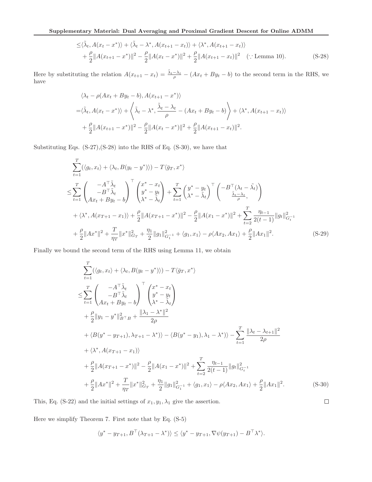$$
\leq \langle \tilde{\lambda}_t, A(x_t - x^*) \rangle + \langle \tilde{\lambda}_t - \lambda^*, A(x_{t+1} - x_t) \rangle + \langle \lambda^*, A(x_{t+1} - x_t) \rangle + \frac{\rho}{2} ||A(x_{t+1} - x^*)||^2 - \frac{\rho}{2} ||A(x_t - x^*)||^2 + \frac{\rho}{2} ||A(x_{t+1} - x_t)||^2 \quad (\because \text{ Lemma 10}).
$$
 (S-28)

Here by substituting the relation  $A(x_{t+1} - x_t) = \frac{\tilde{\lambda}_t - \lambda_t}{\rho} - (Ax_t + By_t - b)$  to the second term in the RHS, we have

$$
\langle \lambda_t - \rho(Ax_t + By_t - b), A(x_{t+1} - x^*) \rangle
$$
  
= $\langle \tilde{\lambda}_t, A(x_t - x^*) \rangle + \langle \tilde{\lambda}_t - \lambda^*, \frac{\tilde{\lambda}_t - \lambda_t}{\rho} - (Ax_t + By_t - b) \rangle + \langle \lambda^*, A(x_{t+1} - x_t) \rangle$   
+ $\frac{\rho}{2} ||A(x_{t+1} - x^*)||^2 - \frac{\rho}{2} ||A(x_t - x^*)||^2 + \frac{\rho}{2} ||A(x_{t+1} - x_t)||^2.$ 

Substituting Eqs. (S-27),(S-28) into the RHS of Eq. (S-30), we have that

$$
\sum_{t=1}^{T} (\langle g_t, x_t \rangle + \langle \lambda_t, B(y_t - y^*) \rangle) - T \langle \bar{g}_T, x^* \rangle
$$
\n
$$
\leq \sum_{t=1}^{T} \begin{pmatrix} -A^{\top} \tilde{\lambda}_t \\ -B^{\top} \tilde{\lambda}_t \\ Ax_t + By_t - b \end{pmatrix}^{\top} \begin{pmatrix} x^* - x_t \\ y^* - y_t \\ \lambda^* - \tilde{\lambda}_t \end{pmatrix} + \sum_{t=1}^{T} \begin{pmatrix} y^* - y_t \\ \lambda^* - \tilde{\lambda}_t \end{pmatrix}^{\top} \begin{pmatrix} -B^{\top} (\lambda_t - \tilde{\lambda}_t) \\ \frac{\tilde{\lambda}_t - \lambda_t}{\rho}, \end{pmatrix}
$$
\n
$$
+ \langle \lambda^*, A(x_{T+1} - x_1) \rangle + \frac{\rho}{2} \| A(x_{T+1} - x^*) \|^2 - \frac{\rho}{2} \| A(x_1 - x^*) \|^2 + \sum_{t=2}^{T} \frac{\eta_{t-1}}{2(t-1)} \| g_t \|_{G_t^{-1}}^2
$$
\n
$$
+ \frac{\rho}{2} \| Ax^* \|^2 + \frac{T}{\eta_T} \| x^* \|_{G_T}^2 + \frac{\eta_1}{2} \| g_1 \|_{G_t^{-1}}^2 + \langle g_1, x_1 \rangle - \rho \langle Ax_2, Ax_1 \rangle + \frac{\rho}{2} \| Ax_1 \|^2.
$$
\n(S-29)

Finally we bound the second term of the RHS using Lemma 11, we obtain

$$
\sum_{t=1}^{T} (\langle g_t, x_t \rangle + \langle \lambda_t, B(y_t - y^*) \rangle) - T \langle \bar{g}_T, x^* \rangle
$$
\n
$$
\leq \sum_{t=1}^{T} \begin{pmatrix} -A^{\top} \tilde{\lambda}_t \\ -B^{\top} \tilde{\lambda}_t \\ Ax_t + By_t - b \end{pmatrix}^{\top} \begin{pmatrix} x^* - x_t \\ y^* - y_t \\ \lambda^* - \tilde{\lambda}_t \end{pmatrix}
$$
\n
$$
+ \frac{\rho}{2} \|y_1 - y^*\|_{B^{\top}B}^2 + \frac{\|\lambda_1 - \lambda^*\|^2}{2\rho}
$$
\n
$$
+ \langle B(y^* - y_{T+1}), \lambda_{T+1} - \lambda^* \rangle \rangle - \langle B(y^* - y_1), \lambda_1 - \lambda^* \rangle \rangle - \sum_{t=1}^{T} \frac{\|\lambda_t - \lambda_{t+1}\|^2}{2\rho}
$$
\n
$$
+ \langle \lambda^*, A(x_{T+1} - x_1) \rangle
$$
\n
$$
+ \frac{\rho}{2} \|A(x_{T+1} - x^*)\|^2 - \frac{\rho}{2} \|A(x_1 - x^*)\|^2 + \sum_{t=2}^{T} \frac{\eta_{t-1}}{2(t-1)} \|g_t\|_{G_t^{-1}}^2
$$
\n
$$
+ \frac{\rho}{2} \|Ax^*\|^2 + \frac{T}{\eta_T} \|x^*\|_{G_T}^2 + \frac{\eta_1}{2} \|g_1\|_{G_t^{-1}}^2 + \langle g_1, x_1 \rangle - \rho \langle Ax_2, Ax_1 \rangle + \frac{\rho}{2} \|Ax_1\|^2.
$$
\n(S-30)

 $\Box$ 

This, Eq. (S-22) and the initial settings of  $x_1, y_1, \lambda_1$  give the assertion.

Here we simplify Theorem 7. First note that by Eq. (S-5)

$$
\langle y^* - y_{T+1}, B^{\top}(\lambda_{T+1} - \lambda^*) \rangle \le \langle y^* - y_{T+1}, \nabla \psi(y_{T+1}) - B^{\top} \lambda^* \rangle.
$$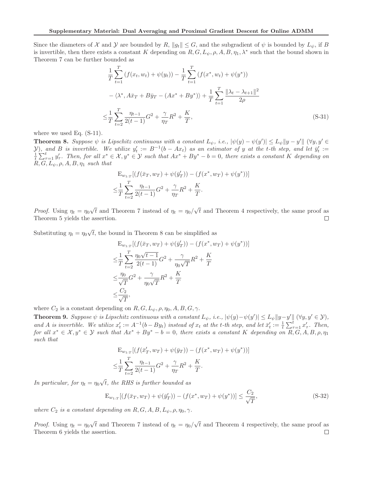Since the diameters of X and Y are bounded by R,  $||g_t|| \leq G$ , and the subgradient of  $\psi$  is bounded by  $L_{\psi}$ , if B is invertible, then there exists a constant K depending on  $R, G, L_{\psi}, \rho, A, B, \eta_1, \lambda^*$  such that the bound shown in Theorem 7 can be further bounded as

$$
\frac{1}{T} \sum_{t=1}^{T} \left( f(x_t, w_t) + \psi(y_t) \right) - \frac{1}{T} \sum_{t=1}^{T} \left( f(x^*, w_t) + \psi(y^*) \right) \n- \langle \lambda^*, A \bar{x}_T + B \bar{y}_T - (Ax^* + By^*) \rangle + \frac{1}{T} \sum_{t=1}^{T} \frac{\|\lambda_t - \lambda_{t+1}\|^2}{2\rho} \n\leq \frac{1}{T} \sum_{t=2}^{T} \frac{\eta_{t-1}}{2(t-1)} G^2 + \frac{\gamma}{\eta_T} R^2 + \frac{K}{T},
$$
\n(S-31)

where we used Eq. (S-11).

**Theorem 8.** Suppose  $\psi$  is Lipschitz continuous with a constant  $L_{\psi}$ , i.e.,  $|\psi(y) - \psi(y')| \leq L_{\psi} ||y - y'|| (\forall y, y' \in$  $\mathcal{Y}$ , and B is invertible. We utilize  $y'_t := B^{-1}(b - Ax_t)$  as an estimator of y at the t-th step, and let  $\bar{y}'_t :=$  $\frac{1}{t}\sum_{\tau=1}^t y'_\tau$ . Then, for all  $x^* \in \mathcal{X}, y^* \in \mathcal{Y}$  such that  $Ax^* + By^* - b = 0$ , there exists a constant K depending on  $R, G, L_{\psi}, \rho, A, B, \eta_1$  *such that* 

$$
E_{w_{1:T}}[(f(\bar{x}_T, w_T) + \psi(\bar{y}'_T)) - (f(x^*, w_T) + \psi(y^*))]
$$
  

$$
\leq \frac{1}{T} \sum_{t=2}^T \frac{\eta_{t-1}}{2(t-1)} G^2 + \frac{\gamma}{\eta_T} R^2 + \frac{K}{T}.
$$

*Proof.* Using  $\eta_t = \eta_0 \sqrt{t}$  and Theorem 7 instead of  $\eta_t = \eta_0 / \sqrt{t}$  and Theorem 4 respectively, the same proof as Theorem 5 yields the assertion.  $\Box$ 

Substituting  $\eta_t = \eta_0 \sqrt{t}$ , the bound in Theorem 8 can be simplified as

$$
E_{w_{1:T}}[(f(\bar{x}_T, w_T) + \psi(\bar{y}_T')) - (f(x^*, w_T) + \psi(y^*))]
$$
  
\n
$$
\leq \frac{1}{T} \sum_{t=2}^T \frac{\eta_0 \sqrt{t-1}}{2(t-1)} G^2 + \frac{\gamma}{\eta_0 \sqrt{T}} R^2 + \frac{K}{T}
$$
  
\n
$$
\leq \frac{\eta_0}{\sqrt{T}} G^2 + \frac{\gamma}{\eta_0 \sqrt{T}} R^2 + \frac{K}{T}
$$
  
\n
$$
\leq \frac{C_2}{\sqrt{T}},
$$

where  $C_2$  is a constant depending on  $R, G, L_{\psi}, \rho, \eta_0, A, B, G, \gamma$ .

**Theorem 9.** Suppose  $\psi$  is Lipschitz continuous with a constant  $L_{\psi}$ , i.e.,  $|\psi(y) - \psi(y')| \leq L_{\psi} ||y - y'|| (\forall y, y' \in \mathcal{Y})$ , and *A* is invertible. We utilize  $x'_t := A^{-1}(b - By_t)$  instead of  $x_t$  at the *t*-th step, and let  $\bar{x}'_t := \frac{1}{t} \sum_{\tau=1}^t x'_\tau$ . Then,  $for \ all \ x^* \in \mathcal{X}, y^* \in \mathcal{Y} \ such \ that \ Ax^* + By^* - b = 0, \ there \ exists \ a \ constant \ K \ depending \ on \ \overline{R}, G, A, B, \rho, \eta_1$ *such that*

$$
E_{w_{1:T}}[(f(\bar{x}'_T, w_T) + \psi(\bar{y}_T)) - (f(x^*, w_T) + \psi(y^*))]
$$
  

$$
\leq \frac{1}{T} \sum_{t=2}^T \frac{\eta_{t-1}}{2(t-1)} G^2 + \frac{\gamma}{\eta_T} R^2 + \frac{K}{T}.
$$

*In particular, for*  $\eta_t = \eta_0 \sqrt{t}$ *, the RHS is further bounded as* 

$$
\mathcal{E}_{w_{1:T}}[(f(\bar{x}_T, w_T) + \psi(\bar{y}'_T)) - (f(x^*, w_T) + \psi(y^*))] \le \frac{C_2}{\sqrt{T}},
$$
\n(S-32)

*where*  $C_2$  *is a constant depending on*  $R, G, A, B, L_{\psi}, \rho, \eta_0, \gamma$ *.* 

*Proof.* Using  $\eta_t = \eta_0 \sqrt{t}$  and Theorem 7 instead of  $\eta_t = \eta_0 / \sqrt{t}$  and Theorem 4 respectively, the same proof as Theorem 6 yields the assertion. $\Box$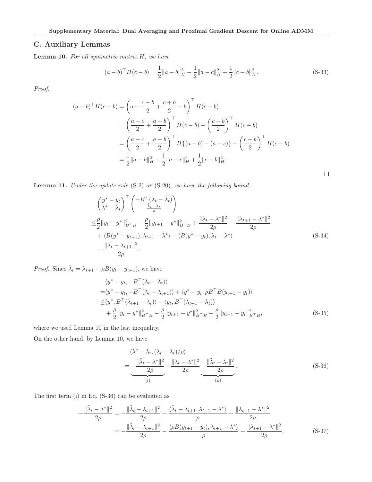# C. Auxiliary Lemmas

Lemma 10. *For all symmetric matrix* H*, we have*

$$
(a-b)^{\top}H(c-b) = \frac{1}{2}||a-b||_H^2 - \frac{1}{2}||a-c||_H^2 + \frac{1}{2}||c-b||_H^2.
$$
 (S-33)

*Proof.*

$$
(a - b)^{\top} H(c - b) = \left(a - \frac{c + b}{2} + \frac{c + b}{2} - b\right)^{\top} H(c - b)
$$
  
=  $\left(\frac{a - c}{2} + \frac{a - b}{2}\right)^{\top} H(c - b) + \left(\frac{c - b}{2}\right)^{\top} H(c - b)$   
=  $\left(\frac{a - c}{2} + \frac{a - b}{2}\right)^{\top} H\{(a - b) - (a - c)\} + \left(\frac{c - b}{2}\right)^{\top} H(c - b)$   
=  $\frac{1}{2} ||a - b||_H^2 - \frac{1}{2} ||a - c||_H^2 + \frac{1}{2} ||c - b||_H^2.$ 

Lemma 11. *Under the update rule* (S-2) *or* (S-20)*, we have the following bound:*

$$
\begin{split}\n\left(\frac{y^* - y_t}{\lambda^* - \tilde{\lambda}_t}\right)^{\top} \left(\frac{-B^{\top}(\lambda_t - \tilde{\lambda}_t)}{\frac{\tilde{\lambda}_t - \lambda_t}{\rho}}\right) \\
\leq & \frac{\rho}{2} \|y_t - y^*\|_{B^{\top}B}^2 - \frac{\rho}{2} \|y_{t+1} - y^*\|_{B^{\top}B}^2 + \frac{\|\lambda_t - \lambda^*\|^2}{2\rho} - \frac{\|\lambda_{t+1} - \lambda^*\|^2}{2\rho} \\
&\quad + \langle B(y^* - y_{t+1}), \lambda_{t+1} - \lambda^* \rangle - \langle B(y^* - y_t), \lambda_t - \lambda^* \rangle \\
&\quad - \frac{\|\lambda_t - \lambda_{t+1}\|^2}{2\rho}.\n\end{split} \tag{S-34}
$$

 $\Box$ 

*Proof.* Since  $\tilde{\lambda}_t = \lambda_{t+1} - \rho B(y_t - y_{t+1})$ , we have

$$
\langle y^* - y_t, -B^\top(\lambda_t - \tilde{\lambda}_t) \rangle \n= \langle y^* - y_t, -B^\top(\lambda_t - \lambda_{t+1}) \rangle + \langle y^* - y_t, \rho B^\top B(y_{t+1} - y_t) \rangle \n\le \langle y^*, B^\top(\lambda_{t+1} - \lambda_t) \rangle - \langle y_t, B^\top(\lambda_{t+1} - \lambda_t) \rangle \n+ \frac{\rho}{2} \| y_t - y^* \|_{B^\top B}^2 - \frac{\rho}{2} \| y_{t+1} - y^* \|_{B^\top B}^2 + \frac{\rho}{2} \| y_{t+1} - y_t \|_{B^\top B}^2,
$$
\n(S-35)

where we used Lemma 10 in the last inequality.

On the other hand, by Lemma 10, we have

$$
\langle \lambda^* - \tilde{\lambda}_t, (\tilde{\lambda}_t - \lambda_t) / \rho \rangle
$$
  
= 
$$
-\frac{\|\tilde{\lambda}_t - \lambda^*\|^2}{2\rho} + \frac{\|\lambda_t - \lambda^*\|^2}{2\rho} - \frac{\|\tilde{\lambda}_t - \lambda_t\|^2}{2\rho}.
$$
 (S-36)

The first term (i) in Eq. (S-36) can be evaluated as

$$
-\frac{\|\tilde{\lambda}_t - \lambda^*\|^2}{2\rho} = -\frac{\|\tilde{\lambda}_t - \lambda_{t+1}\|^2}{2\rho} - \frac{\langle \tilde{\lambda}_t - \lambda_{t+1}, \lambda_{t+1} - \lambda^* \rangle}{\rho} - \frac{\|\lambda_{t+1} - \lambda^*\|^2}{2\rho}
$$

$$
= -\frac{\|\tilde{\lambda}_t - \lambda_{t+1}\|^2}{2\rho} - \frac{\langle \rho B(y_{t+1} - y_t), \lambda_{t+1} - \lambda^* \rangle}{\rho} - \frac{\|\lambda_{t+1} - \lambda^*\|^2}{2\rho}.
$$
(S-37)